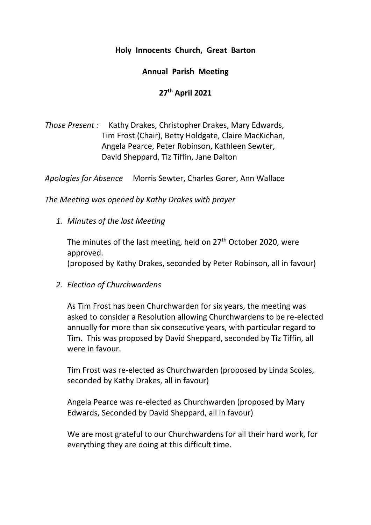## **Holy Innocents Church, Great Barton**

## **Annual Parish Meeting**

## **27th April 2021**

*Those Present :* Kathy Drakes, Christopher Drakes, Mary Edwards, Tim Frost (Chair), Betty Holdgate, Claire MacKichan, Angela Pearce, Peter Robinson, Kathleen Sewter, David Sheppard, Tiz Tiffin, Jane Dalton

*Apologies for Absence* Morris Sewter, Charles Gorer, Ann Wallace

*The Meeting was opened by Kathy Drakes with prayer*

*1. Minutes of the last Meeting*

The minutes of the last meeting, held on 27<sup>th</sup> October 2020, were approved. (proposed by Kathy Drakes, seconded by Peter Robinson, all in favour)

*2. Election of Churchwardens*

As Tim Frost has been Churchwarden for six years, the meeting was asked to consider a Resolution allowing Churchwardens to be re-elected annually for more than six consecutive years, with particular regard to Tim. This was proposed by David Sheppard, seconded by Tiz Tiffin, all were in favour.

Tim Frost was re-elected as Churchwarden (proposed by Linda Scoles, seconded by Kathy Drakes, all in favour)

Angela Pearce was re-elected as Churchwarden (proposed by Mary Edwards, Seconded by David Sheppard, all in favour)

We are most grateful to our Churchwardens for all their hard work, for everything they are doing at this difficult time.